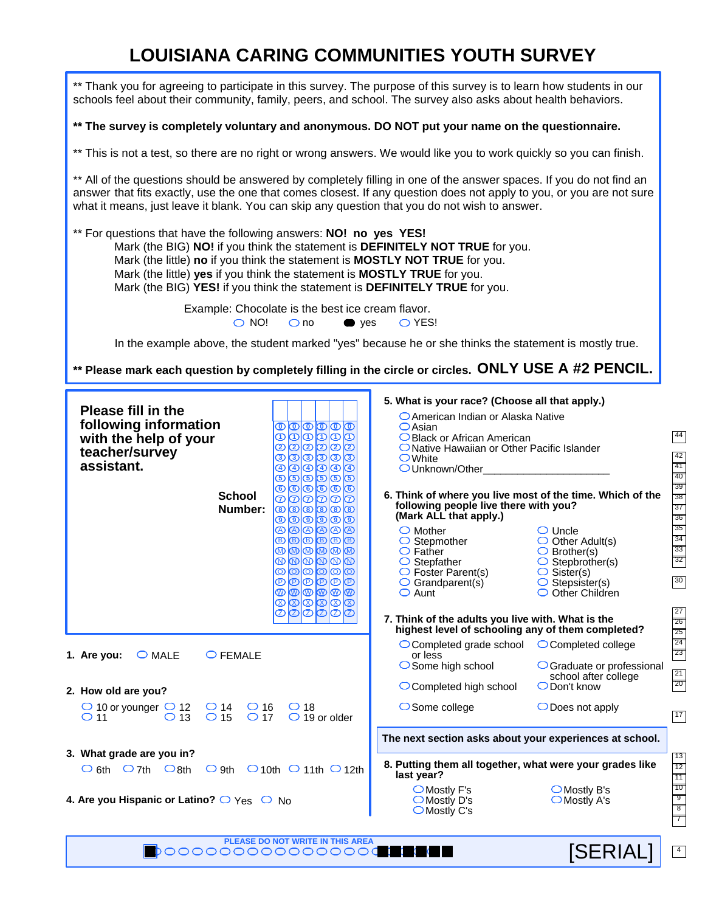# **LOUISIANA CARING COMMUNITIES YOUTH SURVEY**

| ** Thank you for agreeing to participate in this survey. The purpose of this survey is to learn how students in our<br>schools feel about their community, family, peers, and school. The survey also asks about health behaviors.                                                                                                                                                                                                                                                                                                                                                                                                                                                                                |                                                                                                                                                                                                                                                                                                                                                                                                                                                                                                                                                                                                                                                                                                                                                                                                                                                                                                              |
|-------------------------------------------------------------------------------------------------------------------------------------------------------------------------------------------------------------------------------------------------------------------------------------------------------------------------------------------------------------------------------------------------------------------------------------------------------------------------------------------------------------------------------------------------------------------------------------------------------------------------------------------------------------------------------------------------------------------|--------------------------------------------------------------------------------------------------------------------------------------------------------------------------------------------------------------------------------------------------------------------------------------------------------------------------------------------------------------------------------------------------------------------------------------------------------------------------------------------------------------------------------------------------------------------------------------------------------------------------------------------------------------------------------------------------------------------------------------------------------------------------------------------------------------------------------------------------------------------------------------------------------------|
| ** The survey is completely voluntary and anonymous. DO NOT put your name on the questionnaire.                                                                                                                                                                                                                                                                                                                                                                                                                                                                                                                                                                                                                   |                                                                                                                                                                                                                                                                                                                                                                                                                                                                                                                                                                                                                                                                                                                                                                                                                                                                                                              |
| ** This is not a test, so there are no right or wrong answers. We would like you to work quickly so you can finish.                                                                                                                                                                                                                                                                                                                                                                                                                                                                                                                                                                                               |                                                                                                                                                                                                                                                                                                                                                                                                                                                                                                                                                                                                                                                                                                                                                                                                                                                                                                              |
| ** All of the questions should be answered by completely filling in one of the answer spaces. If you do not find an<br>answer that fits exactly, use the one that comes closest. If any question does not apply to you, or you are not sure<br>what it means, just leave it blank. You can skip any question that you do not wish to answer.                                                                                                                                                                                                                                                                                                                                                                      |                                                                                                                                                                                                                                                                                                                                                                                                                                                                                                                                                                                                                                                                                                                                                                                                                                                                                                              |
| ** For questions that have the following answers: NO! no yes YES!<br>Mark (the BIG) NO! if you think the statement is DEFINITELY NOT TRUE for you.<br>Mark (the little) no if you think the statement is MOSTLY NOT TRUE for you.<br>Mark (the little) yes if you think the statement is MOSTLY TRUE for you.<br>Mark (the BIG) YES! if you think the statement is DEFINITELY TRUE for you.                                                                                                                                                                                                                                                                                                                       |                                                                                                                                                                                                                                                                                                                                                                                                                                                                                                                                                                                                                                                                                                                                                                                                                                                                                                              |
| Example: Chocolate is the best ice cream flavor.                                                                                                                                                                                                                                                                                                                                                                                                                                                                                                                                                                                                                                                                  |                                                                                                                                                                                                                                                                                                                                                                                                                                                                                                                                                                                                                                                                                                                                                                                                                                                                                                              |
| $\bigcirc$ NO!<br>$\bigcirc$ no<br>$\bullet$ yes                                                                                                                                                                                                                                                                                                                                                                                                                                                                                                                                                                                                                                                                  | O YES!<br>In the example above, the student marked "yes" because he or she thinks the statement is mostly true.                                                                                                                                                                                                                                                                                                                                                                                                                                                                                                                                                                                                                                                                                                                                                                                              |
|                                                                                                                                                                                                                                                                                                                                                                                                                                                                                                                                                                                                                                                                                                                   |                                                                                                                                                                                                                                                                                                                                                                                                                                                                                                                                                                                                                                                                                                                                                                                                                                                                                                              |
| ** Please mark each question by completely filling in the circle or circles. ONLY USE A #2 PENCIL.                                                                                                                                                                                                                                                                                                                                                                                                                                                                                                                                                                                                                |                                                                                                                                                                                                                                                                                                                                                                                                                                                                                                                                                                                                                                                                                                                                                                                                                                                                                                              |
| <b>Please fill in the</b><br>following information<br><u>©©©©©</u><br>ൕൕൕൕൕ<br>with the help of your<br>00000<br>$^\circledR$<br>teacher/survey<br>യിയിയിയി<br>assistant.<br>$\bigcirc \textcircled{4} \bigcirc \textcircled{4} \bigcirc$<br>$\circledast$<br>಄಄಄಄<br>௫<br>00000<br>ര<br><b>School</b><br>のののののの<br>$\circ$ $\circ$ $\circ$ $\circ$ $\circ$<br>Number:<br>$\textcircled{\textcircled{\scriptsize{1}}}$<br>00000<br>$^\circledR$<br>$\circ$ $\circ$ $\circ$ $\circ$ $\circ$<br>֎֎<br>௵<br>ത<br><b>®®®®®</b><br>00000<br>ത<br>$O$ $O$ $O$ $O$ $O$ $O$ $O$<br>ՠ֎֎֎֎<br>$\otimes$ $\otimes$ $\otimes$ $\otimes$<br>$\infty$<br>$\overline{\text{O}}$ $\overline{\text{O}}$<br>$\circledB$<br>$\Omega$ | 5. What is your race? (Choose all that apply.)<br>○ American Indian or Alaska Native<br>$O$ Asian<br>$\boxed{44}$<br>◯ Black or African American<br>ONative Hawaiian or Other Pacific Islander<br>$\sqrt{42}$<br>$\bigcirc$ White<br>$\overline{41}$<br>OUnknown/Other_<br>40<br>$\frac{1}{39}$ $\frac{38}{37}$<br>6. Think of where you live most of the time. Which of the<br>following people live there with you?<br>(Mark ALL that apply.)<br>$\overline{36}$<br>$\overline{35}$<br>$\bigcirc$ Mother<br>$\bigcirc$ Uncle<br>$\overline{34}$<br>$\bigcirc$ Other Adult(s)<br>$\circ$ Stepmother<br>33<br>$\circ$ Father<br>$\bigcirc$ Brother(s)<br>$\overline{32}$<br>$\circ$ Stepbrother(s)<br>$\circ$ Stepfather<br>$\circ$ Sister(s)<br>$\bigcirc$ Foster Parent(s)<br>$\sqrt{30}$<br>$\bigcirc$ Grandparent(s)<br>$\bigcirc$ Stepsister(s)<br>O Other Children<br>$\bigcirc$ Aunt $\bigcirc$<br>27 |
| 1. Are you:<br>$\bigcirc$ MALE<br>$\bigcirc$ FEMALE                                                                                                                                                                                                                                                                                                                                                                                                                                                                                                                                                                                                                                                               | 7. Think of the adults you live with. What is the<br>$\overline{26}$<br>highest level of schooling any of them completed?<br>$\overline{25}$<br>$\begin{array}{c}\n\overline{24} \\ \overline{23}\n\end{array}$<br>$\bigcirc$ Completed grade school<br>Completed college<br>or less<br>$\bigcirc$ Some high school<br>○ Graduate or professional<br>$\sqrt{21}$<br>school after college<br>$\overline{20}$                                                                                                                                                                                                                                                                                                                                                                                                                                                                                                  |
| 2. How old are you?<br>$\bigcirc$ 10 or younger $\bigcirc$ 12<br>$\bigcirc$ 14 $\bigcirc$ 16<br>$\bigcirc$ 18<br>$\bigcirc$ 13<br>$\bigcirc$ 15<br>$\bigcirc$ 17                                                                                                                                                                                                                                                                                                                                                                                                                                                                                                                                                  | ODon't know<br>◯ Completed high school<br>$\bigcirc$ Some college<br>$\bigcirc$ Does not apply<br>$\boxed{17}$                                                                                                                                                                                                                                                                                                                                                                                                                                                                                                                                                                                                                                                                                                                                                                                               |
| $\bigcirc$ 19 or older<br>○ 11                                                                                                                                                                                                                                                                                                                                                                                                                                                                                                                                                                                                                                                                                    | The next section asks about your experiences at school.                                                                                                                                                                                                                                                                                                                                                                                                                                                                                                                                                                                                                                                                                                                                                                                                                                                      |
| 3. What grade are you in?                                                                                                                                                                                                                                                                                                                                                                                                                                                                                                                                                                                                                                                                                         | 8. Putting them all together, what were your grades like                                                                                                                                                                                                                                                                                                                                                                                                                                                                                                                                                                                                                                                                                                                                                                                                                                                     |
| $\circ$ 6th $\circ$ 7th $\circ$ 8th<br>$\bigcirc$ 9th $\bigcirc$ 10th $\bigcirc$ 11th $\bigcirc$ 12th<br>4. Are you Hispanic or Latino? O Yes O No                                                                                                                                                                                                                                                                                                                                                                                                                                                                                                                                                                | last year?<br>$\bigcirc$ Mostly F's<br>$\bigcirc$ Mostly B's<br>◯ Mostly D's<br>$\bigcirc$ Mostly A's<br>$\bigcirc$ Mostly C's                                                                                                                                                                                                                                                                                                                                                                                                                                                                                                                                                                                                                                                                                                                                                                               |
| PLEASE DO NOT WRITE IN THIS AREA                                                                                                                                                                                                                                                                                                                                                                                                                                                                                                                                                                                                                                                                                  | [SERIAL]                                                                                                                                                                                                                                                                                                                                                                                                                                                                                                                                                                                                                                                                                                                                                                                                                                                                                                     |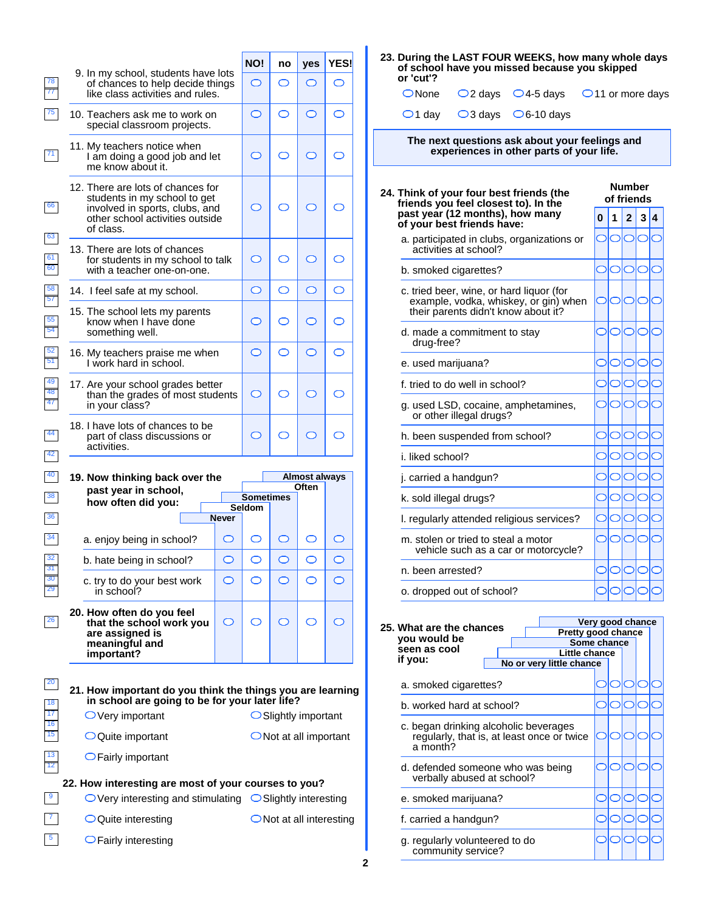|                                                                                                                                                     |              | NO!                        | no                  | yes                               | YES!       |
|-----------------------------------------------------------------------------------------------------------------------------------------------------|--------------|----------------------------|---------------------|-----------------------------------|------------|
| 9. In my school, students have lots<br>of chances to help decide things<br>like class activities and rules.                                         |              | $\bigcirc$                 | ⌒                   | O                                 | $\circ$    |
| 10. Teachers ask me to work on<br>special classroom projects.                                                                                       |              | O                          | O                   | O                                 | O          |
| 11. My teachers notice when<br>I am doing a good job and let<br>me know about it.                                                                   |              | ◯                          | ⌒                   | ◯                                 | ◯          |
| 12. There are lots of chances for<br>students in my school to get<br>involved in sports, clubs, and<br>other school activities outside<br>of class. |              | ◯                          |                     | ⌒                                 | ⌒          |
| 13. There are lots of chances<br>for students in my school to talk<br>with a teacher one-on-one.                                                    |              | O                          | ◯                   | ◯                                 | ◯          |
| 14. I feel safe at my school.                                                                                                                       |              | $\bigcirc$                 | $\circlearrowright$ | $\bigcirc$                        | $\bigcirc$ |
| 15. The school lets my parents<br>know when I have done<br>something well.                                                                          |              | ◯                          | ◯                   | ◯                                 | ◯          |
| 16. My teachers praise me when<br>I work hard in school.                                                                                            |              | $\circ$                    | ⌒                   | O                                 | O          |
| 17. Are your school grades better<br>than the grades of most students<br>in your class?                                                             |              | $\bigcirc$                 | ⌒                   | ◯                                 | ◯          |
| 18. I have lots of chances to be<br>part of class discussions or<br>activities.                                                                     |              | ◯                          | ⌒                   | ◯                                 | ◯          |
|                                                                                                                                                     |              |                            |                     |                                   |            |
|                                                                                                                                                     |              |                            |                     |                                   |            |
| past year in school,                                                                                                                                |              |                            |                     | Almost always<br>Often            |            |
| how often did vou:                                                                                                                                  |              | <b>Sometimes</b><br>Seldom |                     |                                   |            |
| 19. Now thinking back over the                                                                                                                      | <b>Never</b> |                            |                     |                                   |            |
| a. enjoy being in school?                                                                                                                           | $\bigcirc$   | O                          | ◯                   | ⌒                                 |            |
| b. hate being in school?<br>c. try to do your best work<br>in school?                                                                               | ◯            | ◯                          | ◯                   | ◯                                 | ◯          |
| 20. How often do you feel<br>that the school work you<br>are assigned is<br>meaningful and<br>important?                                            | O            | ⌒                          | ⌒                   | ⌒                                 | O          |
| 21. How important do you think the things you are learning<br>in school are going to be for your later life?                                        |              |                            |                     |                                   |            |
| $\bigcirc$ Very important                                                                                                                           |              |                            |                     | $\bigcirc$ Slightly important     |            |
| $\bigcirc$ Quite important                                                                                                                          |              |                            |                     | $\bigcirc$ Not at all important   |            |
| $\bigcirc$ Fairly important                                                                                                                         |              |                            |                     |                                   |            |
| 22. How interesting are most of your courses to you?<br>$\bigcirc$ Very interesting and stimulating $\bigcirc$ Slightly interesting                 |              |                            |                     |                                   |            |
| $\bigcirc$ Quite interesting                                                                                                                        |              |                            |                     | $\bigcirc$ Not at all interesting |            |

| 23. During the LAST FOUR WEEKS, how many whole days |
|-----------------------------------------------------|
| of school have you missed because you skipped       |
| or 'cut'?                                           |

|  |                                                         | ONone $\bigcirc$ 2 days $\bigcirc$ 4-5 days $\bigcirc$ 11 or more days |
|--|---------------------------------------------------------|------------------------------------------------------------------------|
|  | $\bigcirc$ 1 day $\bigcirc$ 3 days $\bigcirc$ 6-10 days |                                                                        |

**The next questions ask about your feelings and experiences in other parts of your life.**

| 24. Think of your four best friends (the<br>friends you feel closest to). In the                                         |           | <b>Number</b><br>of friends |                |    |  |  |  |  |  |
|--------------------------------------------------------------------------------------------------------------------------|-----------|-----------------------------|----------------|----|--|--|--|--|--|
| past year (12 months), how many<br>of your best friends have:                                                            | $\bf{0}$  | 1                           | $\overline{2}$ | 3  |  |  |  |  |  |
| a. participated in clubs, organizations or<br>activities at school?                                                      | $\subset$ |                             |                | IГ |  |  |  |  |  |
| b. smoked cigarettes?                                                                                                    |           |                             |                |    |  |  |  |  |  |
| c. tried beer, wine, or hard liquor (for<br>example, vodka, whiskey, or gin) when<br>their parents didn't know about it? | $\subset$ |                             |                |    |  |  |  |  |  |
| d. made a commitment to stay<br>drug-free?                                                                               |           |                             |                |    |  |  |  |  |  |
| e. used marijuana?                                                                                                       |           |                             |                |    |  |  |  |  |  |
| f. tried to do well in school?                                                                                           |           |                             |                |    |  |  |  |  |  |
| g. used LSD, cocaine, amphetamines,<br>or other illegal drugs?                                                           |           |                             |                |    |  |  |  |  |  |
| h. been suspended from school?                                                                                           |           |                             |                |    |  |  |  |  |  |
| i. liked school?                                                                                                         |           |                             |                |    |  |  |  |  |  |
| j. carried a handgun?                                                                                                    |           |                             |                |    |  |  |  |  |  |
| k. sold illegal drugs?                                                                                                   |           |                             |                |    |  |  |  |  |  |
| I. regularly attended religious services?                                                                                |           |                             |                |    |  |  |  |  |  |
| m. stolen or tried to steal a motor<br>vehicle such as a car or motorcycle?                                              | $\subset$ |                             |                |    |  |  |  |  |  |
| n. been arrested?                                                                                                        |           |                             |                |    |  |  |  |  |  |
| o. dropped out of school?                                                                                                |           |                             |                |    |  |  |  |  |  |

|                                                                                                 |                                   | Very good chance |  |  |  |  |  |  |
|-------------------------------------------------------------------------------------------------|-----------------------------------|------------------|--|--|--|--|--|--|
| 25. What are the chances<br>you would be                                                        | Pretty good chance<br>Some chance |                  |  |  |  |  |  |  |
| seen as cool<br>if you:                                                                         | Little chance                     |                  |  |  |  |  |  |  |
|                                                                                                 | No or very little chance          |                  |  |  |  |  |  |  |
| a. smoked cigarettes?                                                                           |                                   |                  |  |  |  |  |  |  |
| b. worked hard at school?                                                                       |                                   |                  |  |  |  |  |  |  |
| c. began drinking alcoholic beverages<br>regularly, that is, at least once or twice<br>a month? |                                   |                  |  |  |  |  |  |  |
| d. defended someone who was being<br>verbally abused at school?                                 |                                   |                  |  |  |  |  |  |  |
| e. smoked marijuana?                                                                            |                                   |                  |  |  |  |  |  |  |
| f. carried a handgun?                                                                           |                                   |                  |  |  |  |  |  |  |
| g. regularly volunteered to do<br>community service?                                            |                                   |                  |  |  |  |  |  |  |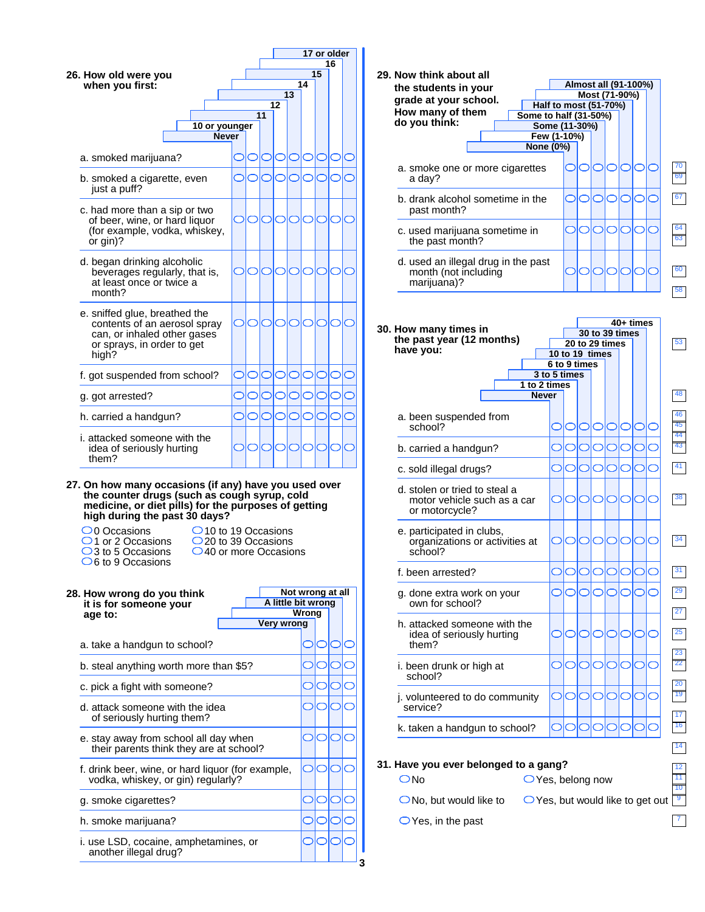

| the students in your<br>grade at your school.                                  | Half to most (51-70%) | Most (71-90%)  |   |            |                | Almost all (91-100%) |  |
|--------------------------------------------------------------------------------|-----------------------|----------------|---|------------|----------------|----------------------|--|
| How many of them<br>Some to half (31-50%)<br>do you think:                     |                       |                |   |            |                |                      |  |
| Few (1-10%)                                                                    | Some (11-30%)         |                |   |            |                |                      |  |
| None (0%)                                                                      |                       |                |   |            |                |                      |  |
| a. smoke one or more cigarettes<br>a day?                                      |                       |                |   |            |                |                      |  |
| b. drank alcohol sometime in the<br>past month?                                |                       |                |   |            |                |                      |  |
| c. used marijuana sometime in<br>the past month?                               |                       |                |   |            |                |                      |  |
| d. used an illegal drug in the past<br>month (not including<br>marijuana)?     |                       |                |   |            |                |                      |  |
|                                                                                |                       |                |   |            |                | 40+ times            |  |
| 30. How many times in<br>the past year (12 months)                             |                       | 20 to 29 times |   |            | 30 to 39 times |                      |  |
| have you:                                                                      | 10 to 19 times        |                |   |            |                |                      |  |
|                                                                                | 6 to 9 times          |                |   |            |                |                      |  |
| 1 to 2 times                                                                   | 3 to 5 times          |                |   |            |                |                      |  |
| <b>Never</b>                                                                   |                       |                |   |            |                |                      |  |
| a. been suspended from<br>school?                                              |                       |                |   |            |                |                      |  |
| b. carried a handgun?                                                          |                       |                |   |            |                |                      |  |
| c. sold illegal drugs?                                                         |                       |                |   |            |                |                      |  |
| d. stolen or tried to steal a<br>motor vehicle such as a car<br>or motorcycle? |                       |                |   |            |                |                      |  |
| e. participated in clubs,<br>organizations or activities at<br>school?         |                       | O              | O | $\bigcirc$ | O              |                      |  |
| f. been arrested?                                                              |                       |                |   |            |                |                      |  |
| g. done extra work on your<br>own for school?                                  |                       |                |   |            |                |                      |  |
| h. attacked someone with the<br>idea of seriously hurting<br>them?             |                       |                |   |            |                |                      |  |
| i. been drunk or high at<br>school?                                            |                       |                |   |            |                |                      |  |
| j. volunteered to do community                                                 |                       |                |   |            |                |                      |  |
| service?                                                                       |                       |                |   |            |                |                      |  |
|                                                                                |                       |                |   |            |                |                      |  |
| k. taken a handgun to school?                                                  |                       |                |   |            |                |                      |  |

7

- $\bigcirc$  No, but would like to
- $\bigcirc$  Yes, in the past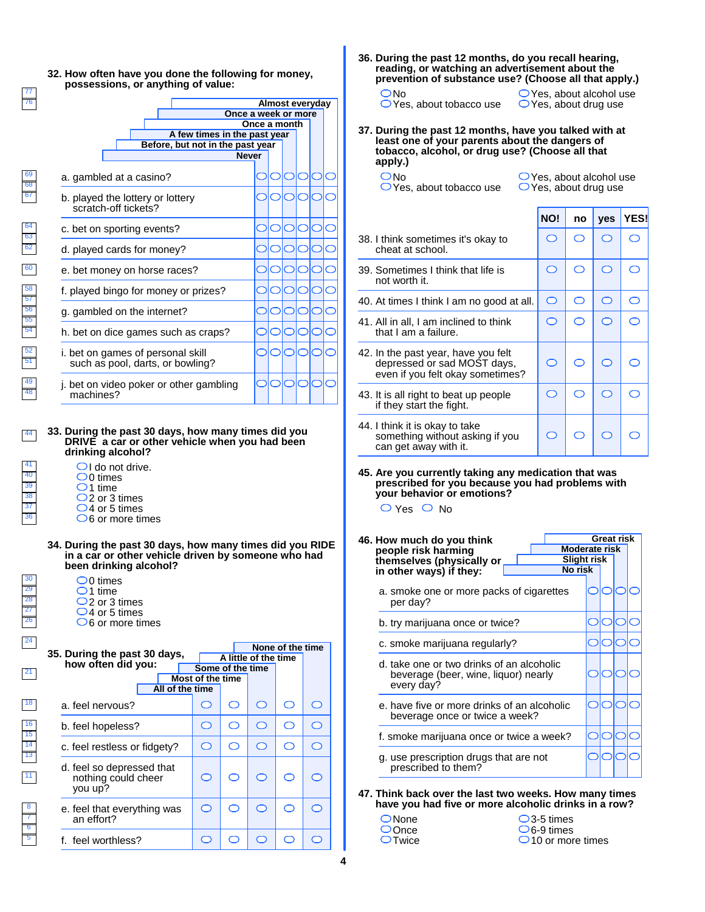

**36. During the past 12 months, do you recall hearing, reading, or watching an advertisement about the prevention of substance use? (Choose all that apply.)**

| ON∩ |                                   |  |
|-----|-----------------------------------|--|
|     | $\bigcirc$ Yes, about tobacco use |  |

 $\bigcirc$  Yes, about alcohol use  $\bigcirc$  Yes, about drug use

**37. During the past 12 months, have you talked with at least one of your parents about the dangers of tobacco, alcohol, or drug use? (Choose all that apply.)**

O<sub>No</sub>

Yes, about tobacco use

 $\bigcirc$  Yes, about alcohol use  $\bigcirc$  Yes, about drug use

**NO!** no ves YES!

| 38. I think sometimes it's okay to<br>cheat at school.                                                 |            |   | $\subset$ |   |
|--------------------------------------------------------------------------------------------------------|------------|---|-----------|---|
| 39. Sometimes I think that life is<br>not worth it.                                                    | ◯          |   | ◯         |   |
| 40. At times I think I am no good at all.                                                              | $\bigcirc$ | ⌒ | ⌒         | ⊂ |
| 41. All in all, I am inclined to think<br>that I am a failure.                                         | ⌒          |   | ⌒         |   |
| 42. In the past year, have you felt<br>depressed or sad MOST days,<br>even if you felt okay sometimes? |            |   | ⌒         |   |
| 43. It is all right to beat up people<br>if they start the fight.                                      | ⌒          |   | ⌒         |   |
| 44. I think it is okay to take<br>something without asking if you<br>can get away with it.             |            |   |           |   |

**45. Are you currently taking any medication that was prescribed for you because you had problems with your behavior or emotions?**

 $\bigcirc$  Yes  $\bigcirc$  No

- **46. How much do you think Great risk people risk harming Moderate risk themselves (physically or Slight risk No risk in other ways) if they:** a. smoke one or more packs of cigarettes ٦ ⊂ per day? b. try marijuana once or twice? c. smoke marijuana regularly? d. take one or two drinks of an alcoholic beverage (beer, wine, liquor) nearly □ ⊂ every day? e. have five or more drinks of an alcoholic beverage once or twice a week? f. smoke marijuana once or twice a week? g. use prescription drugs that are not prescribed to them?
- **47. Think back over the last two weeks. How many times have you had five or more alcoholic drinks in a row?**

| $\bigcirc$ 3-5 times        |
|-----------------------------|
| $\bigcirc$ 6-9 times        |
| $\bigcirc$ 10 or more times |

 $\bigcirc$  None OOnce  $\bigcirc$ Twice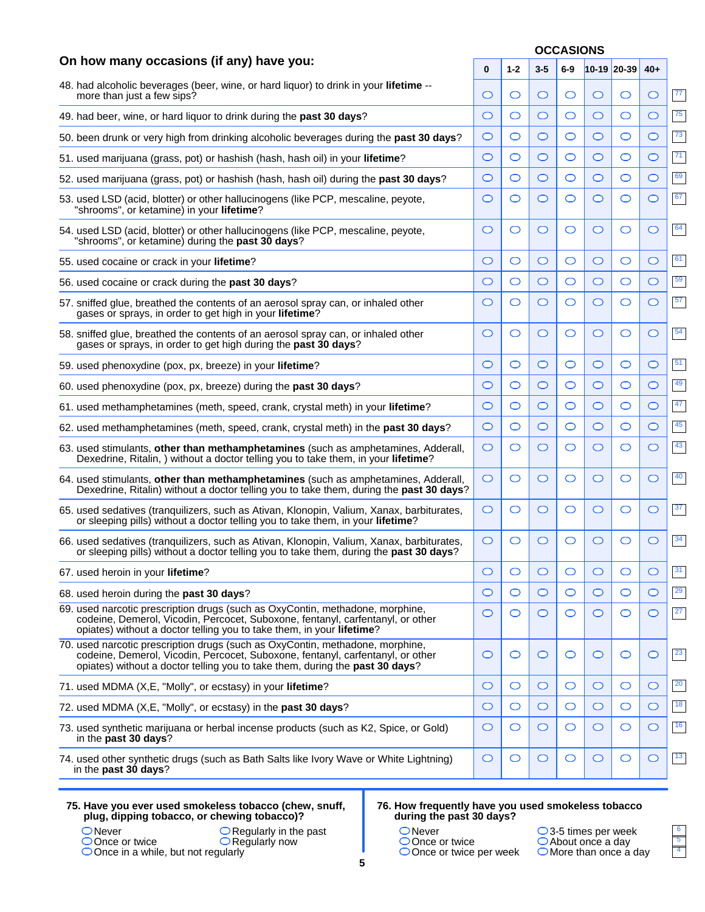|                                                                                                                                                                                                                                                 |         | <b>OCCASIONS</b> |         |         |         |             |         |              |  |  |
|-------------------------------------------------------------------------------------------------------------------------------------------------------------------------------------------------------------------------------------------------|---------|------------------|---------|---------|---------|-------------|---------|--------------|--|--|
| On how many occasions (if any) have you:                                                                                                                                                                                                        | 0       | $1 - 2$          | $3 - 5$ | $6-9$   |         | 10-19 20-39 | $40+$   |              |  |  |
| 48. had alcoholic beverages (beer, wine, or hard liquor) to drink in your lifetime --<br>more than just a few sips?                                                                                                                             | O       | O                | O       | O       | O       | O           | $\circ$ | $\boxed{77}$ |  |  |
| 49. had beer, wine, or hard liquor to drink during the past 30 days?                                                                                                                                                                            | O       | $\circ$          | O       | O       | O       | O           | C       | 75           |  |  |
| 50. been drunk or very high from drinking alcoholic beverages during the past 30 days?                                                                                                                                                          | O       | $\circ$          | O       | O       | O       | O           | O       | 73           |  |  |
| 51. used marijuana (grass, pot) or hashish (hash, hash oil) in your lifetime?                                                                                                                                                                   | O       | $\circ$          | O       | O       | O       | O           | C       | 71           |  |  |
| 52. used marijuana (grass, pot) or hashish (hash, hash oil) during the past 30 days?                                                                                                                                                            | O       | $\circ$          | O       | O       | O       | O           | O       | 69           |  |  |
| 53. used LSD (acid, blotter) or other hallucinogens (like PCP, mescaline, peyote,<br>"shrooms", or ketamine) in your lifetime?                                                                                                                  | O       | $\circ$          | O       | O       | O       | O           | O       | 67           |  |  |
| 54. used LSD (acid, blotter) or other hallucinogens (like PCP, mescaline, peyote,<br>"shrooms", or ketamine) during the past 30 days?                                                                                                           | O       | O                | O       | O       | O       | O           | C       | 64           |  |  |
| 55. used cocaine or crack in your lifetime?                                                                                                                                                                                                     | O       | $\circ$          | O       | O       | O       | O           | C       | 61           |  |  |
| 56. used cocaine or crack during the past 30 days?                                                                                                                                                                                              | O       | $\circ$          | O       | O       | O       | O           | O       | 59           |  |  |
| 57. sniffed glue, breathed the contents of an aerosol spray can, or inhaled other<br>gases or sprays, in order to get high in your lifetime?                                                                                                    | O       | O                | O       | O       | O       | O           | O       | 57           |  |  |
| 58. sniffed glue, breathed the contents of an aerosol spray can, or inhaled other<br>gases or sprays, in order to get high during the past 30 days?                                                                                             | O       | O                | $\circ$ | O       | O       | O           | C       | 54           |  |  |
| 59. used phenoxydine (pox, px, breeze) in your lifetime?                                                                                                                                                                                        | O       | O                | O       | O       | O       | O           | C       | 51           |  |  |
| 60. used phenoxydine (pox, px, breeze) during the past 30 days?                                                                                                                                                                                 | O       | $\circ$          | O       | O       | O       | O           | O       | 49           |  |  |
| 61. used methamphetamines (meth, speed, crank, crystal meth) in your <b>lifetime</b> ?                                                                                                                                                          | O       | $\circ$          | O       | O       | O       | O           | C       | $\sqrt{47}$  |  |  |
| 62. used methamphetamines (meth, speed, crank, crystal meth) in the past 30 days?                                                                                                                                                               | O       | $\circ$          | O       | O       | O       | O           | O       | 45           |  |  |
| 63. used stimulants, other than methamphetamines (such as amphetamines, Adderall,<br>Dexedrine, Ritalin, ) without a doctor telling you to take them, in your lifetime?                                                                         | O       | $\circ$          | O       | O       | O       | O           | O       | 43           |  |  |
| 64. used stimulants, other than methamphetamines (such as amphetamines, Adderall,<br>Dexedrine, Ritalin) without a doctor telling you to take them, during the past 30 days?                                                                    | O       | O                | O       | O       | O       | O           | C       | 40           |  |  |
| 65. used sedatives (tranquilizers, such as Ativan, Klonopin, Valium, Xanax, barbiturates,<br>or sleeping pills) without a doctor telling you to take them, in your lifetime?                                                                    | O       | O                | O       | O       | O       | O           | O       | 37           |  |  |
| 66. used sedatives (tranquilizers, such as Ativan, Klonopin, Valium, Xanax, barbiturates,<br>or sleeping pills) without a doctor telling you to take them, during the past 30 days?                                                             | O       | O                | O       | O       | O       | O           | C       | 34           |  |  |
| 67. used heroin in your lifetime?                                                                                                                                                                                                               | O       | O                | $\circ$ | O       | O       | O           | $\circ$ | 31           |  |  |
| 68. used heroin during the past 30 days?                                                                                                                                                                                                        | $\circ$ | $\circ$          | O       | $\circ$ | $\circ$ | O           | $\circ$ | 29           |  |  |
| 69. used narcotic prescription drugs (such as OxyContin, methadone, morphine,<br>codeine, Demerol, Vicodin, Percocet, Suboxone, fentanyl, carfentanyl, or other<br>opiates) without a doctor telling you to take them, in your lifetime?        | O       | O                | O       | O       | O       | O           | $\circ$ | 27           |  |  |
| 70. used narcotic prescription drugs (such as OxyContin, methadone, morphine,<br>codeine, Demerol, Vicodin, Percocet, Suboxone, fentanyl, carfentanyl, or other<br>opiates) without a doctor telling you to take them, during the past 30 days? | O       | O                | O       | O       | O       | O           | $\circ$ | 23           |  |  |
| 71. used MDMA (X,E, "Molly", or ecstasy) in your lifetime?                                                                                                                                                                                      | O       | $\circ$          | $\circ$ | O       | $\circ$ | O           | $\circ$ | <b>20</b>    |  |  |
| 72. used MDMA (X,E, "Molly", or ecstasy) in the past 30 days?                                                                                                                                                                                   | O       | $\bigcirc$       | $\circ$ | $\circ$ | O       | O           | $\circ$ | $\boxed{18}$ |  |  |
| 73. used synthetic marijuana or herbal incense products (such as K2, Spice, or Gold)<br>in the past 30 days?                                                                                                                                    | O       | $\bigcirc$       | $\circ$ | O       | O       | O           | $\circ$ | 16           |  |  |
| 74. used other synthetic drugs (such as Bath Salts like Ivory Wave or White Lightning)<br>in the past 30 days?                                                                                                                                  | $\circ$ | O                | $\circ$ | O       | $\circ$ | O           | $\circ$ | $\boxed{13}$ |  |  |

|        | 75. Have you ever used smokeless tobacco (chew, snuff,<br>plug, dipping tobacco, or chewing tobacco)? |
|--------|-------------------------------------------------------------------------------------------------------|
| ONever | $\bigcirc$ Regularly in the past                                                                      |

Once in a while, but not regularly

Once or twice

#### **76. How frequently have you used smokeless tobacco during the past 30 days?**

| $\bigcirc$ Never |  |
|------------------|--|

3-5 times per week About once a day More than once a day

| ٠ |  |
|---|--|
|   |  |
|   |  |

Regularly now

Once or twice Once or twice per week  **5**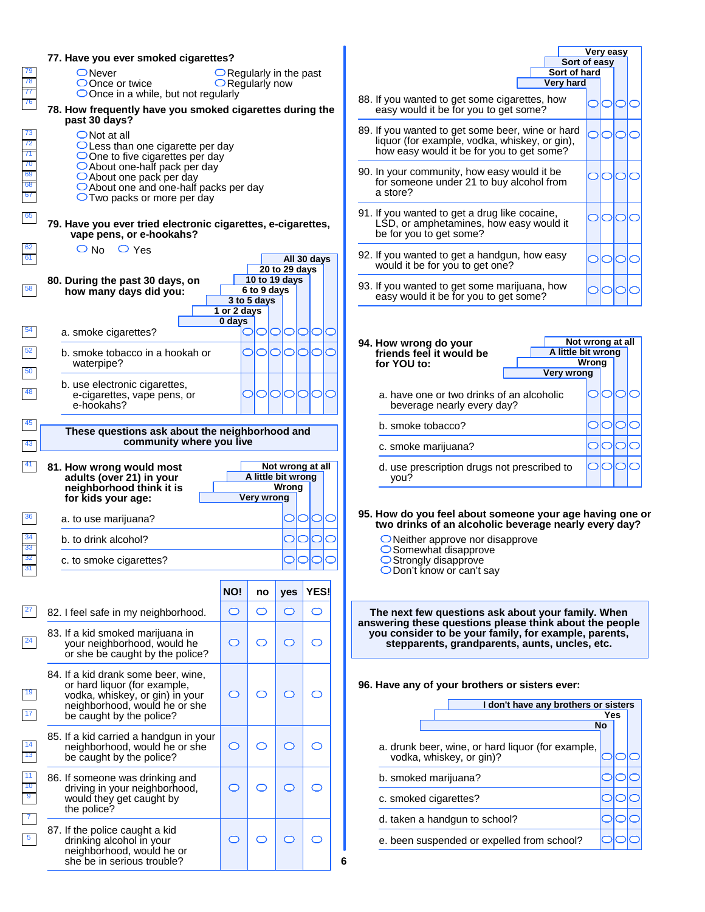| 79<br>$\overline{78}$<br>$\overline{77}$<br>76<br>73<br>$\overline{72}$<br>$\overline{71}$<br>$\overline{70}$<br>$\overline{69}$<br>$\overline{68}$<br>67<br>65<br>62<br>61<br>58<br>54<br>52<br>50 <sub>5</sub><br>48<br>45<br>43<br>41<br>36 | 77. Have you ever smoked cigarettes?<br>$\bigcirc$ Never<br>$\bigcirc$ Once or twice<br>$\bigcirc$ Once in a while, but not regularly<br>78. How frequently have you smoked cigarettes during the<br>past 30 days?<br>$\bigcirc$ Not at all<br>$\bigcirc$ Less than one cigarette per day<br>$\bigcirc$ One to five cigarettes per day<br>○ About one-half pack per day<br>O About one pack per day<br>$\bigcirc$ About one and one-half packs per day<br>$\bigcirc$ Two packs or more per day<br>79. Have you ever tried electronic cigarettes, e-cigarettes,<br>vape pens, or e-hookahs?<br>$\bigcirc$ No $\bigcirc$ Yes<br>80. During the past 30 days, on<br>how many days did you:<br>a. smoke cigarettes?<br>b. smoke tobacco in a hookah or<br>waterpipe?<br>b. use electronic cigarettes,<br>e-cigarettes, vape pens, or<br>e-hookahs?<br>These questions ask about the neighborhood and<br>community where you live<br>81. How wrong would most<br>adults (over 21) in your<br>neighborhood think it is<br>for kids your age:<br>a. to use marijuana? | $\bigcirc$ Regularly in the past<br>$\bigcirc$ Regularly now<br>1 or 2 days<br>0 days | 6 to 9 days<br>3 to 5 days<br>OIOI<br><b>Very wrong</b> | 20 to 29 days<br>10 to 19 days<br>0101010<br>O<br>0101010<br>Not wrong at all<br>A little bit wrong<br><b>Wrong</b> | All 30 days<br>IO<br>∩<br><b>OOC</b> | a store?<br>94. How wrong do your<br>for YOU to:<br>b. smoke tobacco?<br>you? | 88. If you wanted to get some cigar<br>easy would it be for you to get a<br>89. If you wanted to get some beer<br>liquor (for example, vodka, whis<br>how easy would it be for you to<br>90. In your community, how easy w<br>for someone under 21 to buy all<br>91. If you wanted to get a drug like<br>LSD, or amphetamines, how ea<br>be for you to get some?<br>92. If you wanted to get a handgun<br>would it be for you to get one?<br>93. If you wanted to get some marij<br>easy would it be for you to get a<br>friends feel it would be<br>a. have one or two drinks of ar<br>beverage nearly every day?<br>c. smoke marijuana?<br>d. use prescription drugs not p<br>95. How do you feel about some<br>two drinks of an alcoholic be |
|------------------------------------------------------------------------------------------------------------------------------------------------------------------------------------------------------------------------------------------------|----------------------------------------------------------------------------------------------------------------------------------------------------------------------------------------------------------------------------------------------------------------------------------------------------------------------------------------------------------------------------------------------------------------------------------------------------------------------------------------------------------------------------------------------------------------------------------------------------------------------------------------------------------------------------------------------------------------------------------------------------------------------------------------------------------------------------------------------------------------------------------------------------------------------------------------------------------------------------------------------------------------------------------------------------------------|---------------------------------------------------------------------------------------|---------------------------------------------------------|---------------------------------------------------------------------------------------------------------------------|--------------------------------------|-------------------------------------------------------------------------------|-------------------------------------------------------------------------------------------------------------------------------------------------------------------------------------------------------------------------------------------------------------------------------------------------------------------------------------------------------------------------------------------------------------------------------------------------------------------------------------------------------------------------------------------------------------------------------------------------------------------------------------------------------------------------------------------------------------------------------------------------|
| 34<br>$\overline{33}$<br>$\overline{32}$                                                                                                                                                                                                       | b. to drink alcohol?<br>c. to smoke cigarettes?                                                                                                                                                                                                                                                                                                                                                                                                                                                                                                                                                                                                                                                                                                                                                                                                                                                                                                                                                                                                                |                                                                                       |                                                         | $\circ$                                                                                                             | OIO                                  |                                                                               | $\bigcirc$ Neither approve nor disapp<br>$\bigcirc$ Somewhat disapprove<br>◯ Strongly disapprove                                                                                                                                                                                                                                                                                                                                                                                                                                                                                                                                                                                                                                                |
| 31                                                                                                                                                                                                                                             |                                                                                                                                                                                                                                                                                                                                                                                                                                                                                                                                                                                                                                                                                                                                                                                                                                                                                                                                                                                                                                                                |                                                                                       |                                                         |                                                                                                                     |                                      |                                                                               | $\bigcirc$ Don't know or can't say                                                                                                                                                                                                                                                                                                                                                                                                                                                                                                                                                                                                                                                                                                              |
| <b>27</b>                                                                                                                                                                                                                                      |                                                                                                                                                                                                                                                                                                                                                                                                                                                                                                                                                                                                                                                                                                                                                                                                                                                                                                                                                                                                                                                                | NO!                                                                                   | no                                                      | yes                                                                                                                 | <b>YES!</b>                          |                                                                               |                                                                                                                                                                                                                                                                                                                                                                                                                                                                                                                                                                                                                                                                                                                                                 |
| 24                                                                                                                                                                                                                                             | 82. I feel safe in my neighborhood.<br>83. If a kid smoked marijuana in<br>your neighborhood, would he<br>or she be caught by the police?                                                                                                                                                                                                                                                                                                                                                                                                                                                                                                                                                                                                                                                                                                                                                                                                                                                                                                                      | $\circ$<br>$\circ$                                                                    | $\circlearrowright$<br>$\circlearrowright$              | O<br>$\circ$                                                                                                        | $\circlearrowright$<br>O             |                                                                               | The next few questions ask ab<br>answering these questions pleas<br>you consider to be your family<br>stepparents, grandparents                                                                                                                                                                                                                                                                                                                                                                                                                                                                                                                                                                                                                 |
| 19<br>17                                                                                                                                                                                                                                       | 84. If a kid drank some beer, wine,<br>or hard liquor (for example,<br>vodka, whiskey, or gin) in your<br>neighborhood, would he or she<br>be caught by the police?                                                                                                                                                                                                                                                                                                                                                                                                                                                                                                                                                                                                                                                                                                                                                                                                                                                                                            | $\circ$                                                                               | $\circlearrowright$                                     | $\circ$                                                                                                             | O                                    |                                                                               | 96. Have any of your brothers or<br>I don't h                                                                                                                                                                                                                                                                                                                                                                                                                                                                                                                                                                                                                                                                                                   |
| 14<br>$\overline{13}$                                                                                                                                                                                                                          | 85. If a kid carried a handgun in your<br>neighborhood, would he or she<br>be caught by the police?                                                                                                                                                                                                                                                                                                                                                                                                                                                                                                                                                                                                                                                                                                                                                                                                                                                                                                                                                            | $\circ$                                                                               | $\circlearrowright$                                     | $\circ$                                                                                                             | $\circlearrowright$                  |                                                                               | a. drunk beer, wine, or hard liq<br>vodka, whiskey, or gin)?                                                                                                                                                                                                                                                                                                                                                                                                                                                                                                                                                                                                                                                                                    |
| 11<br>$\overline{10}$<br>$\overline{9}$<br>$\overline{7}$                                                                                                                                                                                      | 86. If someone was drinking and<br>driving in your neighborhood,<br>would they get caught by                                                                                                                                                                                                                                                                                                                                                                                                                                                                                                                                                                                                                                                                                                                                                                                                                                                                                                                                                                   | O                                                                                     | $\circlearrowright$                                     | $\circ$                                                                                                             | O                                    |                                                                               | b. smoked marijuana?<br>c. smoked cigarettes?                                                                                                                                                                                                                                                                                                                                                                                                                                                                                                                                                                                                                                                                                                   |
|                                                                                                                                                                                                                                                | the police?                                                                                                                                                                                                                                                                                                                                                                                                                                                                                                                                                                                                                                                                                                                                                                                                                                                                                                                                                                                                                                                    |                                                                                       |                                                         |                                                                                                                     |                                      |                                                                               | d. taken a handgun to school?                                                                                                                                                                                                                                                                                                                                                                                                                                                                                                                                                                                                                                                                                                                   |

|                                                                                                                                                |       | Very easy |  |
|------------------------------------------------------------------------------------------------------------------------------------------------|-------|-----------|--|
| Sort of easy<br>Sort of hard<br><b>Very hard</b>                                                                                               |       |           |  |
| 88. If you wanted to get some cigarettes, how<br>easy would it be for you to get some?                                                         |       |           |  |
| 89. If you wanted to get some beer, wine or hard<br>liquor (for example, vodka, whiskey, or gin),<br>how easy would it be for you to get some? |       |           |  |
| 90. In your community, how easy would it be<br>for someone under 21 to buy alcohol from<br>a store?                                            |       |           |  |
| 91. If you wanted to get a drug like cocaine,<br>LSD, or amphetamines, how easy would it<br>be for you to get some?                            |       |           |  |
| 92. If you wanted to get a handgun, how easy<br>would it be for you to get one?                                                                |       |           |  |
| 93. If you wanted to get some marijuana, how<br>easy would it be for you to get some?                                                          |       |           |  |
| Not wrong at all<br>94. How wrong do your<br>A little bit wrong<br>friends feel it would be<br>for YOU to:<br><b>Very wrong</b>                | Wrong |           |  |
| a have one or two drinks of an alcoholic                                                                                                       |       |           |  |

| a, have one or two drinks of an alcoholic<br>beverage nearly every day? |  |  |
|-------------------------------------------------------------------------|--|--|
| b. smoke tobacco?                                                       |  |  |
| c. smoke marijuana?                                                     |  |  |
| d. use prescription drugs not prescribed to                             |  |  |

#### **95. How do you feel about someone your age having one or two drinks of an alcoholic beverage nearly every day?**

orove

**The next few questions ask about your family. When answering these questions please think about the people you consider to be your family, for example, parents, stepparents, grandparents, aunts, uncles, etc.**

### sisters ever:

| I don't have any brothers or sisters                                          |     |  |
|-------------------------------------------------------------------------------|-----|--|
|                                                                               | Yes |  |
|                                                                               | No  |  |
| a. drunk beer, wine, or hard liquor (for example,<br>vodka, whiskey, or gin)? |     |  |
| b. smoked marijuana?                                                          |     |  |
| c. smoked cigarettes?                                                         |     |  |
| d. taken a handgun to school?                                                 |     |  |
| e. been suspended or expelled from school?                                    |     |  |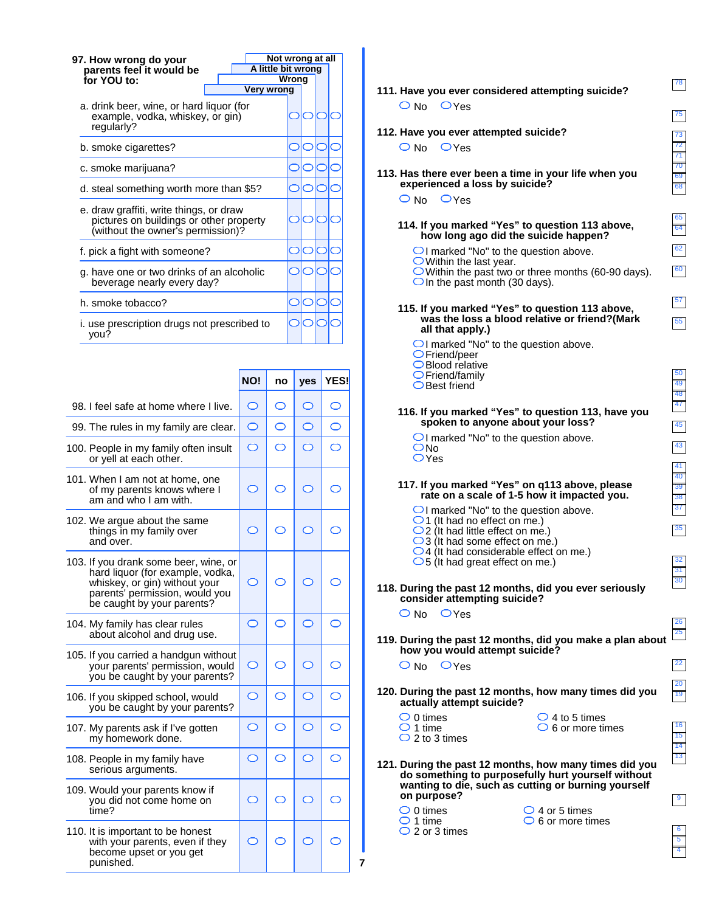| Not wrong at all<br>97. How wrong do your                                                                               |       |  |  |
|-------------------------------------------------------------------------------------------------------------------------|-------|--|--|
| A little bit wrong<br>parents feel it would be                                                                          |       |  |  |
| for YOU to:                                                                                                             | Wrong |  |  |
| Very wrong                                                                                                              |       |  |  |
| a. drink beer, wine, or hard liquor (for<br>example, vodka, whiskey, or gin)<br>regularly?                              |       |  |  |
| b. smoke cigarettes?                                                                                                    |       |  |  |
| c. smoke marijuana?                                                                                                     |       |  |  |
| d. steal something worth more than \$5?                                                                                 |       |  |  |
| e. draw graffiti, write things, or draw<br>pictures on buildings or other property<br>(without the owner's permission)? |       |  |  |
| f. pick a fight with someone?                                                                                           |       |  |  |
| g. have one or two drinks of an alcoholic<br>beverage nearly every day?                                                 |       |  |  |
| h. smoke tobacco?                                                                                                       |       |  |  |
| i. use prescription drugs not prescribed to<br>vou?                                                                     |       |  |  |

|                                                                                                                                                                            | NO!        | no         | yes        | <b>YES!</b> |
|----------------------------------------------------------------------------------------------------------------------------------------------------------------------------|------------|------------|------------|-------------|
| 98. I feel safe at home where I live.                                                                                                                                      | O          | O          | O          |             |
| 99. The rules in my family are clear.                                                                                                                                      | $\circ$    | O          | O          |             |
| 100. People in my family often insult<br>or yell at each other.                                                                                                            | O          | O          | O          |             |
| 101. When I am not at home, one<br>of my parents knows where I<br>am and who I am with.                                                                                    | ◯          | ⌒          | ⌒          |             |
| 102. We argue about the same<br>things in my family over<br>and over.                                                                                                      | ◯          | ⌒          | ◯          |             |
| 103. If you drank some beer, wine, or<br>hard liquor (for example, vodka,<br>whiskey, or gin) without your<br>parents' permission, would you<br>be caught by your parents? | ⌒          | ⌒          | ◯          |             |
| 104. My family has clear rules<br>about alcohol and drug use.                                                                                                              | $\circ$    | O          | $\bigcirc$ |             |
| 105. If you carried a handgun without<br>your parents' permission, would<br>you be caught by your parents?                                                                 | O          | ⌒          | ⌒          |             |
| 106. If you skipped school, would<br>you be caught by your parents?                                                                                                        | O          | ⌒          | ◯          |             |
| 107. My parents ask if I've gotten<br>my homework done.                                                                                                                    | O          | O          | O          |             |
| 108. People in my family have<br>serious arguments.                                                                                                                        | $\bigcirc$ | $\bigcirc$ | $\bigcirc$ | $\bigcirc$  |
| 109. Would your parents know if<br>you did not come home on<br>time?                                                                                                       | $\circ$    | ⌒          | ◯          |             |
| 110. It is important to be honest<br>with your parents, even if they<br>become upset or you get<br>punished.                                                               | ⌒          |            |            |             |

 **7**

#### 13 14 15 16 19 20 22 25 26 30 31 32 35 37 38 39 40 41 43 45 47 48 49 50 55 57 60 62 64 65 68 69 70 71 72 73 75 78 **111. Have you ever considered attempting suicide? 112. Have you ever attempted suicide? 113. Has there ever been a time in your life when you experienced a loss by suicide? 114. If you marked "Yes" to question 113 above, how long ago did the suicide happen?**  $\bigcirc$  I marked "No" to the question above. Within the last year. Within the past two or three months (60-90 days).  $\bigcirc$  In the past month (30 days). **115. If you marked "Yes" to question 113 above, was the loss a blood relative or friend?(Mark all that apply.)**  $\bigcirc$  I marked "No" to the question above. Friend/peer Blood relative Friend/family **○Best friend 116. If you marked "Yes" to question 113, have you spoken to anyone about your loss?** OI marked "No" to the question above.  $ONO$ OYes  $O$  No  $O$  Yes  $O$  No  $O$  Yes  $O$  No  $O$  Yes **118. During the past 12 months, did you ever seriously consider attempting suicide? 119. During the past 12 months, did you make a plan about how you would attempt suicide?**  $O$  No  $O$  Yes  $O$  No  $O$  Yes **120. During the past 12 months, how many times did you actually attempt suicide?**  $\bigcirc$  4 to 5 times  $\bigcirc$  6 or more times  $\bigcirc$  0 times  $\bigcirc$  1 time  $\bigcirc$  2 to 3 times  $\bigcirc$  0 times 1 time 2 or 3 times **121. During the past 12 months, how many times did you do something to purposefully hurt yourself without wanting to die, such as cutting or burning yourself on purpose?**  $\bigcirc$  4 or 5 times  $\bigcirc$  6 or more times **117. If you marked "Yes" on q113 above, please rate on a scale of 1-5 how it impacted you.**  $\bigcirc$ I marked "No" to the question above.  $\bigcirc$ 1 (It had no effect on me.)  $\bigcirc$  2 (It had little effect on me.)  $\bigcirc$ 3 (It had some effect on me.)  $\overline{\bigcirc}$  4 (It had considerable effect on me.)  $\bigcirc$  5 (It had great effect on me.)

4 5 6

9